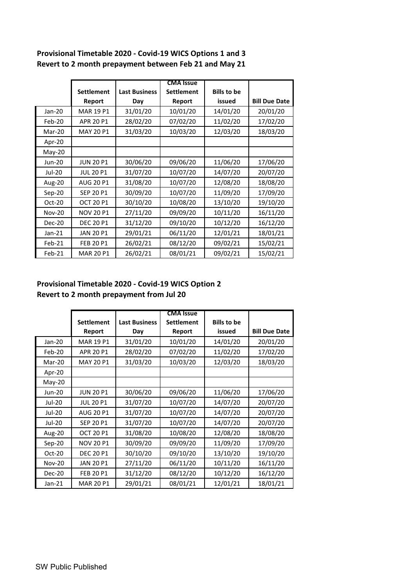|               | <b>CMA Issue</b>  |                      |                   |                    |                      |
|---------------|-------------------|----------------------|-------------------|--------------------|----------------------|
|               | <b>Settlement</b> | <b>Last Business</b> | <b>Settlement</b> | <b>Bills to be</b> |                      |
|               | Report            | Day                  | Report            | issued             | <b>Bill Due Date</b> |
| Jan-20        | <b>MAR 19 P1</b>  | 31/01/20             | 10/01/20          | 14/01/20           | 20/01/20             |
| Feb-20        | APR 20 P1         | 28/02/20             | 07/02/20          | 11/02/20           | 17/02/20             |
| Mar-20        | <b>MAY 20 P1</b>  | 31/03/20             | 10/03/20          | 12/03/20           | 18/03/20             |
| Apr-20        |                   |                      |                   |                    |                      |
| $May-20$      |                   |                      |                   |                    |                      |
| <b>Jun-20</b> | <b>JUN 20 P1</b>  | 30/06/20             | 09/06/20          | 11/06/20           | 17/06/20             |
| Jul-20        | <b>JUL 20 P1</b>  | 31/07/20             | 10/07/20          | 14/07/20           | 20/07/20             |
| Aug-20        | <b>AUG 20 P1</b>  | 31/08/20             | 10/07/20          | 12/08/20           | 18/08/20             |
| $Sep-20$      | SEP 20 P1         | 30/09/20             | 10/07/20          | 11/09/20           | 17/09/20             |
| $Oct-20$      | <b>OCT 20 P1</b>  | 30/10/20             | 10/08/20          | 13/10/20           | 19/10/20             |
| <b>Nov-20</b> | <b>NOV 20 P1</b>  | 27/11/20             | 09/09/20          | 10/11/20           | 16/11/20             |
| Dec-20        | <b>DEC 20 P1</b>  | 31/12/20             | 09/10/20          | 10/12/20           | 16/12/20             |
| $Jan-21$      | <b>JAN 20 P1</b>  | 29/01/21             | 06/11/20          | 12/01/21           | 18/01/21             |
| Feb-21        | FEB 20 P1         | 26/02/21             | 08/12/20          | 09/02/21           | 15/02/21             |
| Feb-21        | <b>MAR 20 P1</b>  | 26/02/21             | 08/01/21          | 09/02/21           | 15/02/21             |

## **Provisional Timetable 2020 - Covid-19 WICS Options 1 and 3 Revert to 2 month prepayment between Feb 21 and May 21**

## **Provisional Timetable 2020 - Covid-19 WICS Option 2 Revert to 2 month prepayment from Jul 20**

|               | <b>CMA</b> Issue  |                      |                   |                    |                      |
|---------------|-------------------|----------------------|-------------------|--------------------|----------------------|
|               | <b>Settlement</b> | <b>Last Business</b> | <b>Settlement</b> | <b>Bills to be</b> |                      |
|               | Report            | Day                  | Report            | issued             | <b>Bill Due Date</b> |
| Jan-20        | <b>MAR 19 P1</b>  | 31/01/20             | 10/01/20          | 14/01/20           | 20/01/20             |
| Feb-20        | APR 20 P1         | 28/02/20             | 07/02/20          | 11/02/20           | 17/02/20             |
| Mar-20        | <b>MAY 20 P1</b>  | 31/03/20             | 10/03/20          | 12/03/20           | 18/03/20             |
| Apr-20        |                   |                      |                   |                    |                      |
| May-20        |                   |                      |                   |                    |                      |
| <b>Jun-20</b> | <b>JUN 20 P1</b>  | 30/06/20             | 09/06/20          | 11/06/20           | 17/06/20             |
| Jul-20        | <b>JUL 20 P1</b>  | 31/07/20             | 10/07/20          | 14/07/20           | 20/07/20             |
| Jul-20        | <b>AUG 20 P1</b>  | 31/07/20             | 10/07/20          | 14/07/20           | 20/07/20             |
| Jul-20        | SEP 20 P1         | 31/07/20             | 10/07/20          | 14/07/20           | 20/07/20             |
| Aug-20        | <b>OCT 20 P1</b>  | 31/08/20             | 10/08/20          | 12/08/20           | 18/08/20             |
| Sep-20        | <b>NOV 20 P1</b>  | 30/09/20             | 09/09/20          | 11/09/20           | 17/09/20             |
| Oct-20        | <b>DEC 20 P1</b>  | 30/10/20             | 09/10/20          | 13/10/20           | 19/10/20             |
| <b>Nov-20</b> | <b>JAN 20 P1</b>  | 27/11/20             | 06/11/20          | 10/11/20           | 16/11/20             |
| Dec-20        | <b>FEB 20 P1</b>  | 31/12/20             | 08/12/20          | 10/12/20           | 16/12/20             |
| $Jan-21$      | <b>MAR 20 P1</b>  | 29/01/21             | 08/01/21          | 12/01/21           | 18/01/21             |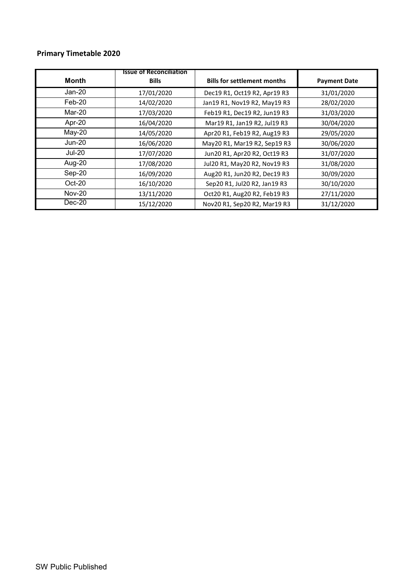## **Primary Timetable 2020**

| <b>Month</b>  | <b>Issue of Reconciliation</b><br><b>Bills</b> | <b>Bills for settlement months</b> | <b>Payment Date</b> |
|---------------|------------------------------------------------|------------------------------------|---------------------|
| Jan-20        | 17/01/2020                                     | Dec19 R1, Oct19 R2, Apr19 R3       | 31/01/2020          |
| $Feb-20$      | 14/02/2020                                     | Jan19 R1, Nov19 R2, May19 R3       | 28/02/2020          |
| Mar-20        | 17/03/2020                                     | Feb19 R1, Dec19 R2, Jun19 R3       | 31/03/2020          |
| Apr-20        | 16/04/2020                                     | Mar19 R1, Jan19 R2, Jul19 R3       | 30/04/2020          |
| $May-20$      | 14/05/2020                                     | Apr20 R1, Feb19 R2, Aug19 R3       | 29/05/2020          |
| $Jun-20$      | 16/06/2020                                     | May20 R1, Mar19 R2, Sep19 R3       | 30/06/2020          |
| <b>Jul-20</b> | 17/07/2020                                     | Jun20 R1, Apr20 R2, Oct19 R3       | 31/07/2020          |
| Aug-20        | 17/08/2020                                     | Jul20 R1, May20 R2, Nov19 R3       | 31/08/2020          |
| Sep-20        | 16/09/2020                                     | Aug20 R1, Jun20 R2, Dec19 R3       | 30/09/2020          |
| $Oct-20$      | 16/10/2020                                     | Sep20 R1, Jul20 R2, Jan19 R3       | 30/10/2020          |
| <b>Nov-20</b> | 13/11/2020                                     | Oct20 R1, Aug20 R2, Feb19 R3       | 27/11/2020          |
| $Dec-20$      | 15/12/2020                                     | Nov20 R1, Sep20 R2, Mar19 R3       | 31/12/2020          |